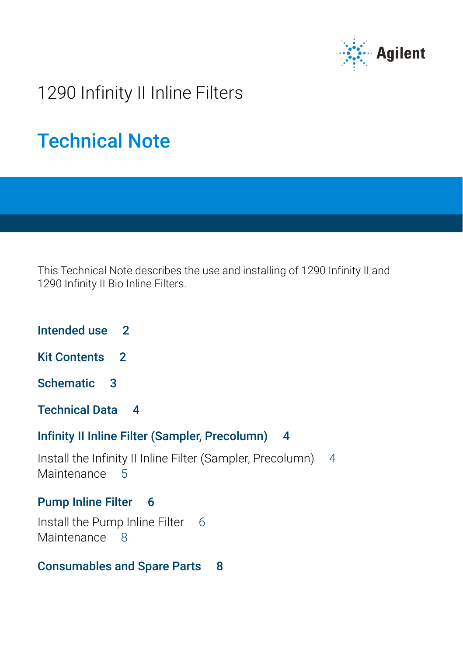

## 1290 Infinity II Inline Filters

# Technical Note

This Technical Note describes the use and installing of 1290 Infinity II and 1290 Infinity II Bio Inline Filters.

- [Intended use 2](#page-1-0)
- [Kit Contents 2](#page-1-1)
- [Schematic 3](#page-2-0)
- [Technical Data 4](#page-3-0)

#### [Infinity II Inline Filter \(Sampler, Precolumn\) 4](#page-3-1)

[Install the Infinity II Inline Filter \(Sampler, Precolumn\)](#page-3-2) [4](#page-3-2) [Maintenance](#page-4-0) [5](#page-4-0)

#### [Pump Inline Filter 6](#page-5-0)

[Install the Pump Inline Filter](#page-5-1) [6](#page-5-1) [Maintenance](#page-7-0) [8](#page-7-0)

### [Consumables and Spare Parts 8](#page-7-1)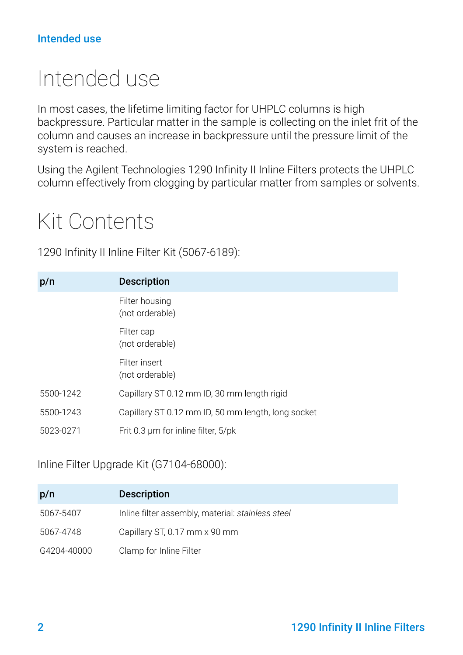#### Intended use

# <span id="page-1-0"></span>Intended use

In most cases, the lifetime limiting factor for UHPLC columns is high backpressure. Particular matter in the sample is collecting on the inlet frit of the column and causes an increase in backpressure until the pressure limit of the system is reached.

Using the Agilent Technologies 1290 Infinity II Inline Filters protects the UHPLC column effectively from clogging by particular matter from samples or solvents.

## <span id="page-1-1"></span>Kit Contents

1290 Infinity II Inline Filter Kit (5067-6189):

| p/n       | <b>Description</b>                                 |
|-----------|----------------------------------------------------|
|           | Filter housing<br>(not orderable)                  |
|           | Filter cap<br>(not orderable)                      |
|           | Filter insert<br>(not orderable)                   |
| 5500-1242 | Capillary ST 0.12 mm ID, 30 mm length rigid        |
| 5500-1243 | Capillary ST 0.12 mm ID, 50 mm length, long socket |
| 5023-0271 | Frit 0.3 um for inline filter, 5/pk                |

Inline Filter Upgrade Kit (G7104-68000):

| p/n         | <b>Description</b>                                |
|-------------|---------------------------------------------------|
| 5067-5407   | Inline filter assembly, material: stainless steel |
| 5067-4748   | Capillary ST, 0.17 mm x 90 mm                     |
| G4204-40000 | Clamp for Inline Filter                           |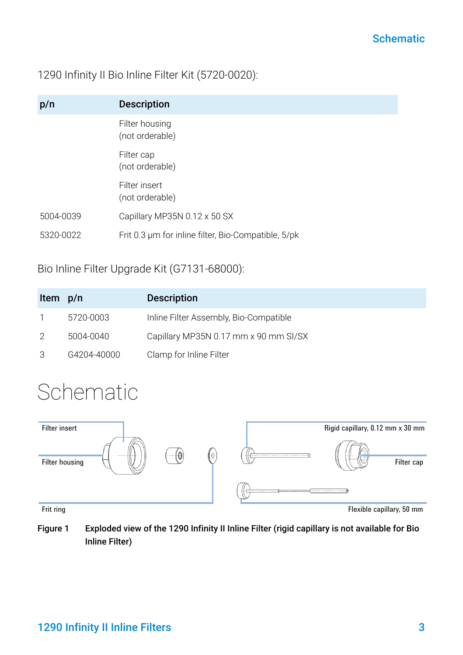#### 1290 Infinity II Bio Inline Filter Kit (5720-0020):

| p/n       | <b>Description</b>                                  |
|-----------|-----------------------------------------------------|
|           | Filter housing<br>(not orderable)                   |
|           | Filter cap<br>(not orderable)                       |
|           | Filter insert<br>(not orderable)                    |
| 5004-0039 | Capillary MP35N 0.12 x 50 SX                        |
| 5320-0022 | Frit 0.3 um for inline filter, Bio-Compatible, 5/pk |

#### Bio Inline Filter Upgrade Kit (G7131-68000):

| Item p/n |             | <b>Description</b>                     |
|----------|-------------|----------------------------------------|
|          | 5720-0003   | Inline Filter Assembly, Bio-Compatible |
|          | 5004-0040   | Capillary MP35N 0.17 mm x 90 mm SI/SX  |
|          | G4204-40000 | Clamp for Inline Filter                |

# <span id="page-2-0"></span>Schematic



Figure 1 Exploded view of the 1290 Infinity II Inline Filter (rigid capillary is not available for Bio Inline Filter)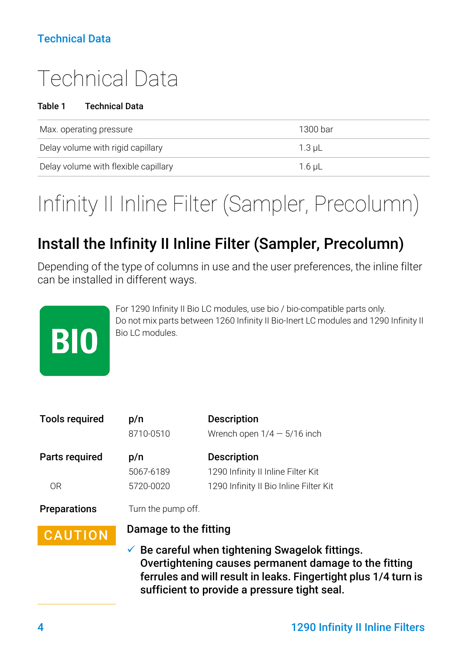### Technical Data

# <span id="page-3-0"></span>Technical Data

#### Table 1 Technical Data

| Max. operating pressure              | 1300 bar |
|--------------------------------------|----------|
| Delay volume with rigid capillary    | $1.3$ uL |
| Delay volume with flexible capillary | 1.6 uL   |

# <span id="page-3-1"></span>Infinity II Inline Filter (Sampler, Precolumn)

## <span id="page-3-2"></span>Install the Infinity II Inline Filter (Sampler, Precolumn)

Depending of the type of columns in use and the user preferences, the inline filter can be installed in different ways.



For 1290 Infinity II Bio LC modules, use bio / bio-compatible parts only. Do not mix parts between 1260 Infinity II Bio-Inert LC modules and 1290 Infinity II Bio LC modules.

| <b>Tools required</b> | p/n                   | <b>Description</b>                     |
|-----------------------|-----------------------|----------------------------------------|
|                       | 8710-0510             | Wrench open $1/4 - 5/16$ inch          |
| Parts required        | p/n                   | <b>Description</b>                     |
|                       | 5067-6189             | 1290 Infinity II Inline Filter Kit     |
| 0 <sub>R</sub>        | 5720-0020             | 1290 Infinity II Bio Inline Filter Kit |
| <b>Preparations</b>   | Turn the pump off.    |                                        |
| <b>CAUTION</b>        | Damage to the fitting |                                        |

 $\checkmark$  Be careful when tightening Swagelok fittings. Overtightening causes permanent damage to the fitting ferrules and will result in leaks. Fingertight plus 1/4 turn is sufficient to provide a pressure tight seal.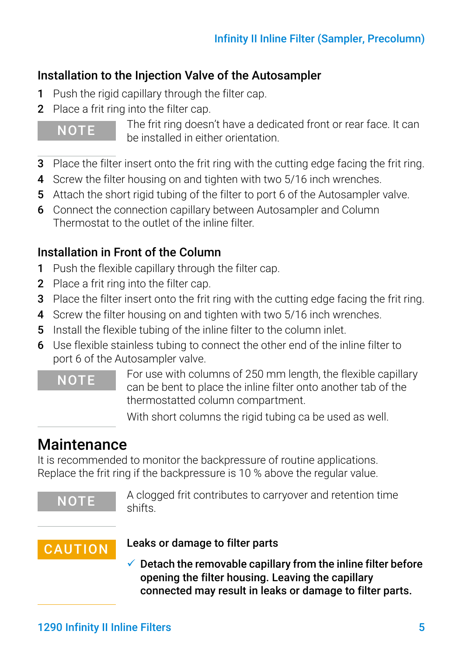### Installation to the Injection Valve of the Autosampler

- 1 Push the rigid capillary through the filter cap.
- 2 Place a frit ring into the filter cap.

NOTE The frit ring doesn't have a dedicated front or rear face. It can be installed in either orientation.

- 3 Place the filter insert onto the frit ring with the cutting edge facing the frit ring.
- 4 Screw the filter housing on and tighten with two 5/16 inch wrenches.
- 5 Attach the short rigid tubing of the filter to port 6 of the Autosampler valve.
- 6 Connect the connection capillary between Autosampler and Column Thermostat to the outlet of the inline filter.

### Installation in Front of the Column

- 1 Push the flexible capillary through the filter cap.
- 2 Place a frit ring into the filter cap.
- 3 Place the filter insert onto the frit ring with the cutting edge facing the frit ring.
- 4 Screw the filter housing on and tighten with two 5/16 inch wrenches.
- 5 Install the flexible tubing of the inline filter to the column inlet.
- 6 Use flexible stainless tubing to connect the other end of the inline filter to port 6 of the Autosampler valve.

NOTE For use with columns of 250 mm length, the flexible capillary can be bent to place the inline filter onto another tab of the thermostatted column compartment.

With short columns the rigid tubing ca be used as well.

## <span id="page-4-0"></span>**Maintenance**

It is recommended to monitor the backpressure of routine applications. Replace the frit ring if the backpressure is 10 % above the regular value.

NOTE A clogged frit contributes to carryover and retention time shifts.

## CAUTION Leaks or damage to filter parts

 $\checkmark$  Detach the removable capillary from the inline filter before opening the filter housing. Leaving the capillary connected may result in leaks or damage to filter parts.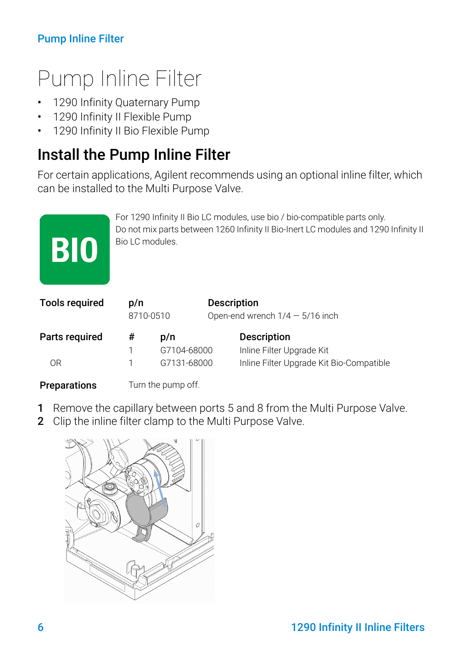### Pump Inline Filter

# <span id="page-5-0"></span>Pump Inline Filter

- 1290 Infinity Quaternary Pump
- 1290 Infinity II Flexible Pump
- 1290 Infinity II Bio Flexible Pump

## <span id="page-5-1"></span>Install the Pump Inline Filter

For certain applications, Agilent recommends using an optional inline filter, which can be installed to the Multi Purpose Valve.

| Parts required        | #                                                                                                                                                                                   | p/n       | <b>Description</b>                                      |
|-----------------------|-------------------------------------------------------------------------------------------------------------------------------------------------------------------------------------|-----------|---------------------------------------------------------|
| <b>Tools required</b> | p/n                                                                                                                                                                                 | 8710-0510 | <b>Description</b><br>Open-end wrench $1/4 - 5/16$ inch |
| <b>BIO</b>            | For 1290 Infinity II Bio LC modules, use bio / bio-compatible parts only.<br>Do not mix parts between 1260 Infinity II Bio-Inert LC modules and 1290 Infinity II<br>Bio LC modules. |           |                                                         |

#### **Preparations** Turn the pump off.

- 
- 1 Remove the capillary between ports 5 and 8 from the Multi Purpose Valve.

1 G7104-68000 Inline Filter Upgrade Kit OR 1 G7131-68000 Inline Filter Upgrade Kit Bio-Compatible

2 Clip the inline filter clamp to the Multi Purpose Valve.

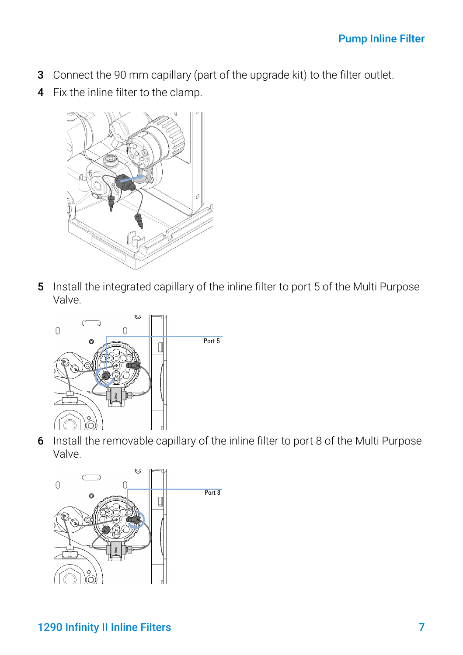- 3 Connect the 90 mm capillary (part of the upgrade kit) to the filter outlet.
- 4 Fix the inline filter to the clamp.



5 Install the integrated capillary of the inline filter to port 5 of the Multi Purpose Valve.



6 Install the removable capillary of the inline filter to port 8 of the Multi Purpose Valve.